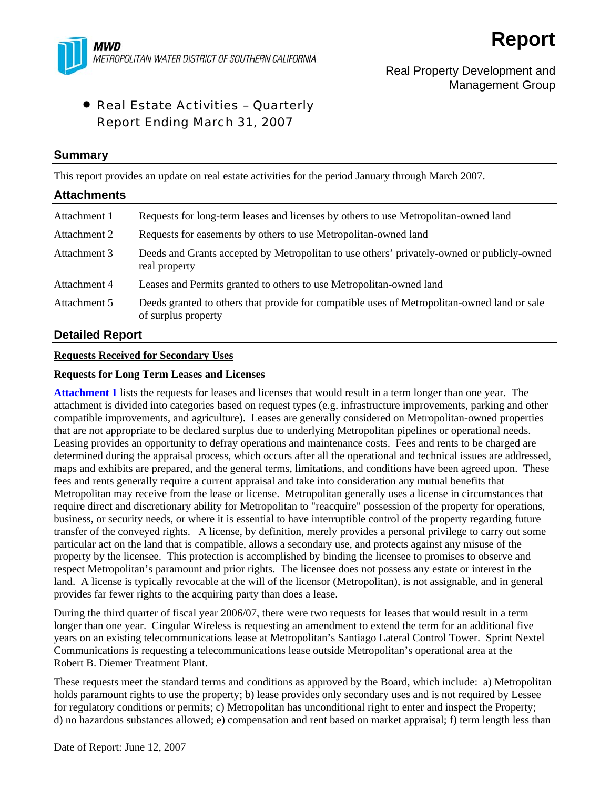

# Real Property Development and Management Group

# • Real Estate Activities – Quarterly Report Ending March 31, 2007

## **Summary**

This report provides an update on real estate activities for the period January through March 2007.

| <b>Attachments</b> |                                                                                                                    |
|--------------------|--------------------------------------------------------------------------------------------------------------------|
| Attachment 1       | Requests for long-term leases and licenses by others to use Metropolitan-owned land                                |
| Attachment 2       | Requests for easements by others to use Metropolitan-owned land                                                    |
| Attachment 3       | Deeds and Grants accepted by Metropolitan to use others' privately-owned or publicly-owned<br>real property        |
| Attachment 4       | Leases and Permits granted to others to use Metropolitan-owned land                                                |
| Attachment 5       | Deeds granted to others that provide for compatible uses of Metropolitan-owned land or sale<br>of surplus property |

## **Detailed Report**

## **Requests Received for Secondary Uses**

### **Requests for Long Term Leases and Licenses**

**Attachment 1** lists the requests for leases and licenses that would result in a term longer than one year. The attachment is divided into categories based on request types (e.g. infrastructure improvements, parking and other compatible improvements, and agriculture). Leases are generally considered on Metropolitan-owned properties that are not appropriate to be declared surplus due to underlying Metropolitan pipelines or operational needs. Leasing provides an opportunity to defray operations and maintenance costs. Fees and rents to be charged are determined during the appraisal process, which occurs after all the operational and technical issues are addressed, maps and exhibits are prepared, and the general terms, limitations, and conditions have been agreed upon. These fees and rents generally require a current appraisal and take into consideration any mutual benefits that Metropolitan may receive from the lease or license. Metropolitan generally uses a license in circumstances that require direct and discretionary ability for Metropolitan to "reacquire" possession of the property for operations, business, or security needs, or where it is essential to have interruptible control of the property regarding future transfer of the conveyed rights. A license, by definition, merely provides a personal privilege to carry out some particular act on the land that is compatible, allows a secondary use, and protects against any misuse of the property by the licensee. This protection is accomplished by binding the licensee to promises to observe and respect Metropolitan's paramount and prior rights. The licensee does not possess any estate or interest in the land. A license is typically revocable at the will of the licensor (Metropolitan), is not assignable, and in general provides far fewer rights to the acquiring party than does a lease.

During the third quarter of fiscal year 2006/07, there were two requests for leases that would result in a term longer than one year. Cingular Wireless is requesting an amendment to extend the term for an additional five years on an existing telecommunications lease at Metropolitan's Santiago Lateral Control Tower. Sprint Nextel Communications is requesting a telecommunications lease outside Metropolitan's operational area at the Robert B. Diemer Treatment Plant.

These requests meet the standard terms and conditions as approved by the Board, which include: a) Metropolitan holds paramount rights to use the property; b) lease provides only secondary uses and is not required by Lessee for regulatory conditions or permits; c) Metropolitan has unconditional right to enter and inspect the Property; d) no hazardous substances allowed; e) compensation and rent based on market appraisal; f) term length less than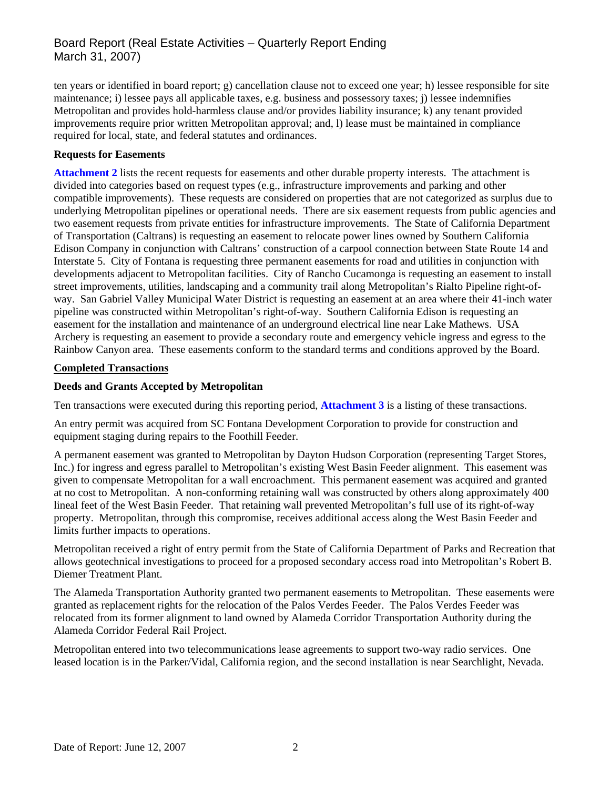# Board Report (Real Estate Activities – Quarterly Report Ending March 31, 2007)

ten years or identified in board report; g) cancellation clause not to exceed one year; h) lessee responsible for site maintenance; i) lessee pays all applicable taxes, e.g. business and possessory taxes; j) lessee indemnifies Metropolitan and provides hold-harmless clause and/or provides liability insurance; k) any tenant provided improvements require prior written Metropolitan approval; and, l) lease must be maintained in compliance required for local, state, and federal statutes and ordinances.

### **Requests for Easements**

**Attachment 2** lists the recent requests for easements and other durable property interests. The attachment is divided into categories based on request types (e.g., infrastructure improvements and parking and other compatible improvements). These requests are considered on properties that are not categorized as surplus due to underlying Metropolitan pipelines or operational needs. There are six easement requests from public agencies and two easement requests from private entities for infrastructure improvements. The State of California Department of Transportation (Caltrans) is requesting an easement to relocate power lines owned by Southern California Edison Company in conjunction with Caltrans' construction of a carpool connection between State Route 14 and Interstate 5. City of Fontana is requesting three permanent easements for road and utilities in conjunction with developments adjacent to Metropolitan facilities. City of Rancho Cucamonga is requesting an easement to install street improvements, utilities, landscaping and a community trail along Metropolitan's Rialto Pipeline right-ofway. San Gabriel Valley Municipal Water District is requesting an easement at an area where their 41-inch water pipeline was constructed within Metropolitan's right-of-way. Southern California Edison is requesting an easement for the installation and maintenance of an underground electrical line near Lake Mathews. USA Archery is requesting an easement to provide a secondary route and emergency vehicle ingress and egress to the Rainbow Canyon area. These easements conform to the standard terms and conditions approved by the Board.

### **Completed Transactions**

## **Deeds and Grants Accepted by Metropolitan**

Ten transactions were executed during this reporting period, **Attachment 3** is a listing of these transactions.

An entry permit was acquired from SC Fontana Development Corporation to provide for construction and equipment staging during repairs to the Foothill Feeder.

A permanent easement was granted to Metropolitan by Dayton Hudson Corporation (representing Target Stores, Inc.) for ingress and egress parallel to Metropolitan's existing West Basin Feeder alignment. This easement was given to compensate Metropolitan for a wall encroachment. This permanent easement was acquired and granted at no cost to Metropolitan. A non-conforming retaining wall was constructed by others along approximately 400 lineal feet of the West Basin Feeder. That retaining wall prevented Metropolitan's full use of its right-of-way property. Metropolitan, through this compromise, receives additional access along the West Basin Feeder and limits further impacts to operations.

Metropolitan received a right of entry permit from the State of California Department of Parks and Recreation that allows geotechnical investigations to proceed for a proposed secondary access road into Metropolitan's Robert B. Diemer Treatment Plant.

The Alameda Transportation Authority granted two permanent easements to Metropolitan. These easements were granted as replacement rights for the relocation of the Palos Verdes Feeder. The Palos Verdes Feeder was relocated from its former alignment to land owned by Alameda Corridor Transportation Authority during the Alameda Corridor Federal Rail Project.

Metropolitan entered into two telecommunications lease agreements to support two-way radio services. One leased location is in the Parker/Vidal, California region, and the second installation is near Searchlight, Nevada.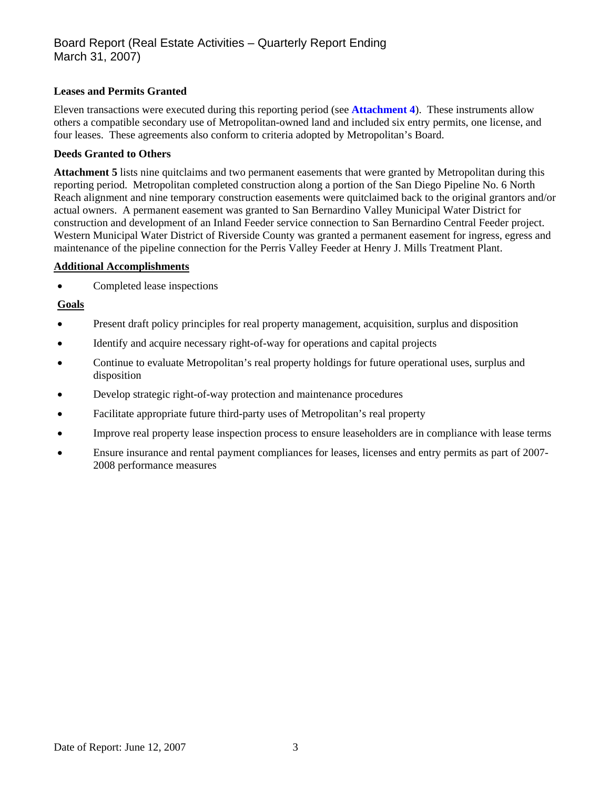## **Leases and Permits Granted**

Eleven transactions were executed during this reporting period (see **Attachment 4**). These instruments allow others a compatible secondary use of Metropolitan-owned land and included six entry permits, one license, and four leases. These agreements also conform to criteria adopted by Metropolitan's Board.

### **Deeds Granted to Others**

**Attachment 5** lists nine quitclaims and two permanent easements that were granted by Metropolitan during this reporting period. Metropolitan completed construction along a portion of the San Diego Pipeline No. 6 North Reach alignment and nine temporary construction easements were quitclaimed back to the original grantors and/or actual owners. A permanent easement was granted to San Bernardino Valley Municipal Water District for construction and development of an Inland Feeder service connection to San Bernardino Central Feeder project. Western Municipal Water District of Riverside County was granted a permanent easement for ingress, egress and maintenance of the pipeline connection for the Perris Valley Feeder at Henry J. Mills Treatment Plant.

## **Additional Accomplishments**

• Completed lease inspections

## **Goals**

- Present draft policy principles for real property management, acquisition, surplus and disposition
- Identify and acquire necessary right-of-way for operations and capital projects
- Continue to evaluate Metropolitan's real property holdings for future operational uses, surplus and disposition
- Develop strategic right-of-way protection and maintenance procedures
- Facilitate appropriate future third-party uses of Metropolitan's real property
- Improve real property lease inspection process to ensure leaseholders are in compliance with lease terms
- Ensure insurance and rental payment compliances for leases, licenses and entry permits as part of 2007- 2008 performance measures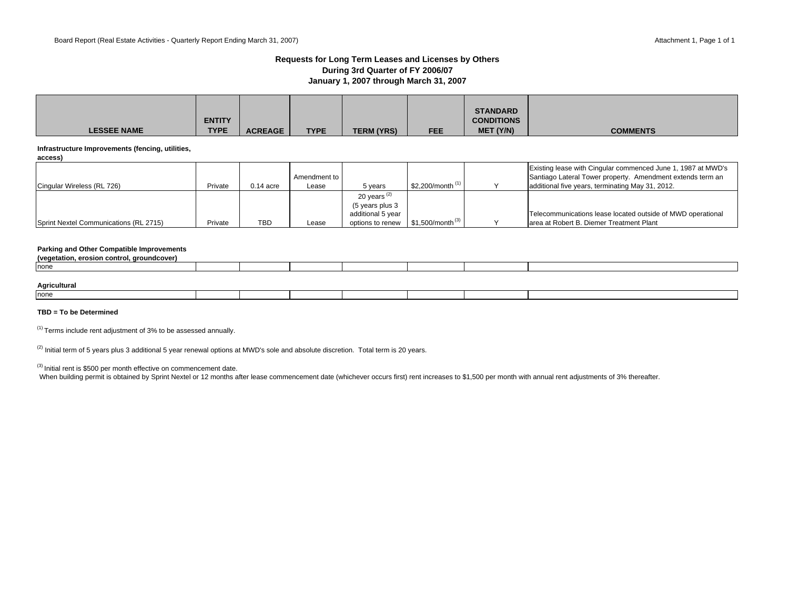### **Requests for Long Term Leases and Licenses by Others During 3rd Quarter of FY 2006/07 January 1, 2007 through March 31, 2007**

|                    |               |                |             |                   |            | <b>STANDARD</b>   |                 |
|--------------------|---------------|----------------|-------------|-------------------|------------|-------------------|-----------------|
|                    | <b>ENTITY</b> |                |             |                   |            | <b>CONDITIONS</b> |                 |
| <b>LESSEE NAME</b> | <b>TYPE</b>   | <b>ACREAGE</b> | <b>TYPE</b> | <b>TERM (YRS)</b> | <b>FEE</b> | MET (Y/N)         | <b>COMMENTS</b> |

#### **Infrastructure Improvements (fencing, utilities,**

|--|

| Cingular Wireless (RL 726)             | Private | $0.14$ acre | Amendment to I<br>Lease | 5 years           | \$2.200/month $(1)$            | Existing lease with Cingular commenced June 1, 1987 at MWD's<br>Santiago Lateral Tower property. Amendment extends term an<br>additional five years, terminating May 31, 2012. |
|----------------------------------------|---------|-------------|-------------------------|-------------------|--------------------------------|--------------------------------------------------------------------------------------------------------------------------------------------------------------------------------|
|                                        |         |             |                         | 20 years $(2)$    |                                |                                                                                                                                                                                |
|                                        |         |             |                         | (5 years plus 3   |                                |                                                                                                                                                                                |
|                                        |         |             |                         | additional 5 year |                                | Telecommunications lease located outside of MWD operational                                                                                                                    |
| Sprint Nextel Communications (RL 2715) | Private | TBD         | Lease                   | options to renew  | $$1.500/m$ onth <sup>(3)</sup> | larea at Robert B. Diemer Treatment Plant                                                                                                                                      |

#### **Parking and Other Compatible Improvements**

| . erosion control.<br>, groundcover)<br>(vegetation |  |  |  |  |
|-----------------------------------------------------|--|--|--|--|
| none                                                |  |  |  |  |
|                                                     |  |  |  |  |
|                                                     |  |  |  |  |

### **Agricultural**

| none |  |  |  |  |
|------|--|--|--|--|
|      |  |  |  |  |

### **TBD = To be Determined**

 $(1)$  Terms include rent adjustment of 3% to be assessed annually.

 $(2)$  Initial term of 5 years plus 3 additional 5 year renewal options at MWD's sole and absolute discretion. Total term is 20 years.

(3) Initial rent is \$500 per month effective on commencement date.

When building permit is obtained by Sprint Nextel or 12 months after lease commencement date (whichever occurs first) rent increases to \$1,500 per month with annual rent adjustments of 3% thereafter.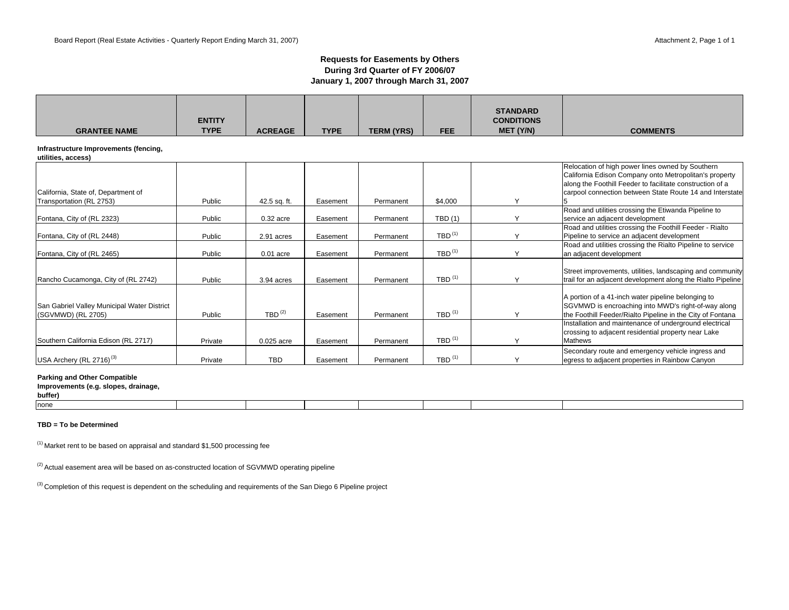### **Requests for Easements by Others During 3rd Quarter of FY 2006/07 January 1, 2007 through March 31, 2007**

| <b>GRANTEE NAME</b>                                               | <b>ENTITY</b><br><b>TYPE</b> | <b>ACREAGE</b>       | <b>TYPE</b> | <b>TERM (YRS)</b> | <b>FEE</b>                        | <b>STANDARD</b><br><b>CONDITIONS</b><br>MET (Y/N) | <b>COMMENTS</b>                                                                                                                                                                                                                     |
|-------------------------------------------------------------------|------------------------------|----------------------|-------------|-------------------|-----------------------------------|---------------------------------------------------|-------------------------------------------------------------------------------------------------------------------------------------------------------------------------------------------------------------------------------------|
| Infrastructure Improvements (fencing,<br>utilities, access)       |                              |                      |             |                   |                                   |                                                   |                                                                                                                                                                                                                                     |
| California, State of, Department of<br>Transportation (RL 2753)   | Public                       | 42.5 sq. ft.         | Easement    | Permanent         | \$4,000                           | Y                                                 | Relocation of high power lines owned by Southern<br>California Edison Company onto Metropolitan's property<br>along the Foothill Feeder to facilitate construction of a<br>carpool connection between State Route 14 and Interstate |
| Fontana, City of (RL 2323)                                        | Public                       | $0.32$ acre          | Easement    | Permanent         | TBD(1)                            | $\checkmark$                                      | Road and utilities crossing the Etiwanda Pipeline to<br>service an adjacent development                                                                                                                                             |
| Fontana, City of (RL 2448)                                        | Public                       | 2.91 acres           | Easement    | Permanent         | $TBD$ <sup>(1)</sup>              | $\checkmark$                                      | Road and utilities crossing the Foothill Feeder - Rialto<br>Pipeline to service an adjacent development                                                                                                                             |
| Fontana, City of (RL 2465)                                        | Public                       | $0.01$ acre          | Easement    | Permanent         | $TBD$ <sup>(1)</sup>              |                                                   | Road and utilities crossing the Rialto Pipeline to service<br>an adjacent development                                                                                                                                               |
| Rancho Cucamonga, City of (RL 2742)                               | Public                       | 3.94 acres           | Easement    | Permanent         | TBD $(1)$                         |                                                   | Street improvements, utilities, landscaping and community<br>trail for an adjacent development along the Rialto Pipeline                                                                                                            |
| San Gabriel Valley Municipal Water District<br>(SGVMWD) (RL 2705) | Public                       | $TBD$ <sup>(2)</sup> | Easement    | Permanent         | $TBD$ <sup><math>(1)</math></sup> |                                                   | A portion of a 41-inch water pipeline belonging to<br>SGVMWD is encroaching into MWD's right-of-way along<br>the Foothill Feeder/Rialto Pipeline in the City of Fontana                                                             |
| Southern California Edison (RL 2717)                              | Private                      | 0.025 acre           | Easement    | Permanent         | $TBD$ <sup>(1)</sup>              |                                                   | Installation and maintenance of underground electrical<br>crossing to adjacent residential property near Lake<br><b>Mathews</b>                                                                                                     |
| USA Archery (RL 2716) <sup>(3)</sup>                              | Private                      | <b>TBD</b>           | Easement    | Permanent         | TBD $(1)$                         |                                                   | Secondary route and emergency vehicle ingress and<br>egress to adjacent properties in Rainbow Canyon                                                                                                                                |

#### **Parking and Other Compatible**

#### **Improvements (e.g. slopes, drainage,**

**buffer)**

| none |  |  |  |  |
|------|--|--|--|--|
|      |  |  |  |  |

#### **TBD = To be Determined**

 $(1)$  Market rent to be based on appraisal and standard \$1,500 processing fee

<sup>(2)</sup> Actual easement area will be based on as-constructed location of SGVMWD operating pipeline

<sup>(3)</sup> Completion of this request is dependent on the scheduling and requirements of the San Diego 6 Pipeline project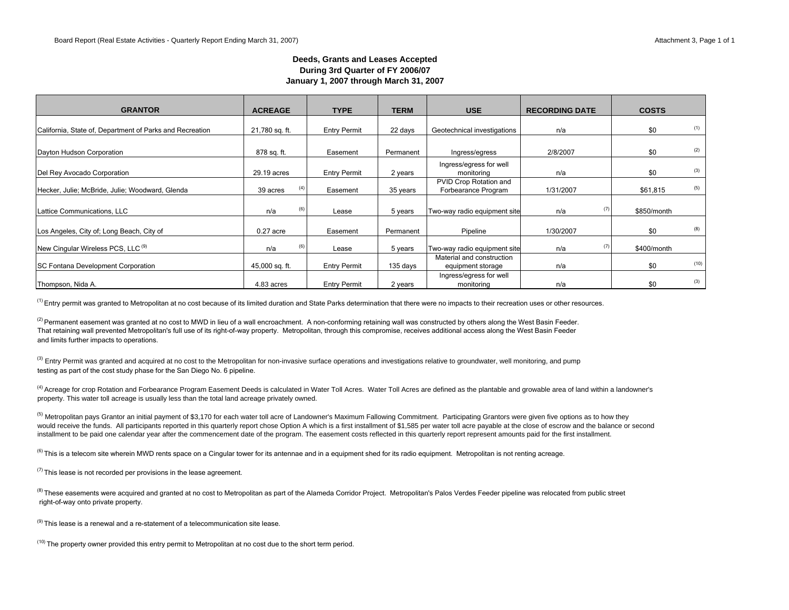### **Deeds, Grants and Leases Accepted During 3rd Quarter of FY 2006/07 January 1, 2007 through March 31, 2007**

| <b>GRANTOR</b>                                           | <b>ACREAGE</b> |     | <b>TYPE</b>         | <b>TERM</b> | <b>USE</b>                                     | <b>RECORDING DATE</b> | <b>COSTS</b> |      |
|----------------------------------------------------------|----------------|-----|---------------------|-------------|------------------------------------------------|-----------------------|--------------|------|
| California, State of, Department of Parks and Recreation | 21,780 sq. ft. |     | <b>Entry Permit</b> | 22 days     | Geotechnical investigations                    | n/a                   | \$0          | (1)  |
| Dayton Hudson Corporation                                | 878 sq. ft.    |     | Easement            | Permanent   | Ingress/egress                                 | 2/8/2007              | \$0          | (2)  |
| Del Rey Avocado Corporation                              | 29.19 acres    |     | <b>Entry Permit</b> | 2 years     | Ingress/egress for well<br>monitoring          | n/a                   | \$0          | (3)  |
| Hecker, Julie; McBride, Julie; Woodward, Glenda          | 39 acres       | (4) | Easement            | 35 years    | PVID Crop Rotation and<br>Forbearance Program  | 1/31/2007             | \$61,815     | (5)  |
| Lattice Communications, LLC                              | n/a            | (6) | Lease               | 5 years     | Two-way radio equipment site                   | (7)<br>n/a            | \$850/month  |      |
| Los Angeles, City of; Long Beach, City of                | $0.27$ acre    |     | Easement            | Permanent   | Pipeline                                       | 1/30/2007             | \$0          | (8)  |
| New Cingular Wireless PCS, LLC <sup>(9)</sup>            | n/a            | (6) | Lease               | 5 years     | Two-way radio equipment site                   | (7)<br>n/a            | \$400/month  |      |
| <b>SC Fontana Development Corporation</b>                | 45,000 sq. ft. |     | <b>Entry Permit</b> | 135 days    | Material and construction<br>equipment storage | n/a                   | \$0          | (10) |
| Thompson, Nida A.                                        | 4.83 acres     |     | <b>Entry Permit</b> | 2 years     | Ingress/egress for well<br>monitoring          | n/a                   | \$0          | (3)  |

 $<sup>(1)</sup>$  Entry permit was granted to Metropolitan at no cost because of its limited duration and State Parks determination that there were no impacts to their recreation uses or other resources.</sup>

That retaining wall prevented Metropolitan's full use of its right-of-way property. Metropolitan, through this compromise, receives additional access along the West Basin Feeder and limits further impacts to operations. (2) Permanent easement was granted at no cost to MWD in lieu of a wall encroachment. A non-conforming retaining wall was constructed by others along the West Basin Feeder.

<sup>(3)</sup> Entry Permit was granted and acquired at no cost to the Metropolitan for non-invasive surface operations and investigations relative to groundwater, well monitoring, and pump testing as part of the cost study phase for the San Diego No. 6 pipeline.

<sup>(4)</sup> Acreage for crop Rotation and Forbearance Program Easement Deeds is calculated in Water Toll Acres. Water Toll Acres are defined as the plantable and growable area of land within a landowner's property. This water toll acreage is usually less than the total land acreage privately owned.

<sup>(5)</sup> Metropolitan pays Grantor an initial payment of \$3,170 for each water toll acre of Landowner's Maximum Fallowing Commitment. Participating Grantors were given five options as to how they would receive the funds. All participants reported in this quarterly report chose Option A which is a first installment of \$1,585 per water toll acre payable at the close of escrow and the balance or second installment to be paid one calendar year after the commencement date of the program. The easement costs reflected in this quarterly report represent amounts paid for the first installment.

<sup>(6)</sup> This is a telecom site wherein MWD rents space on a Cinqular tower for its antennae and in a equipment shed for its radio equipment. Metropolitan is not renting acreage.

 $(7)$  This lease is not recorded per provisions in the lease agreement.

<sup>(8)</sup> These easements were acquired and granted at no cost to Metropolitan as part of the Alameda Corridor Project. Metropolitan's Palos Verdes Feeder pipeline was relocated from public street right-of-way onto private property.

 $(9)$  This lease is a renewal and a re-statement of a telecommunication site lease.

 $(10)$  The property owner provided this entry permit to Metropolitan at no cost due to the short term period.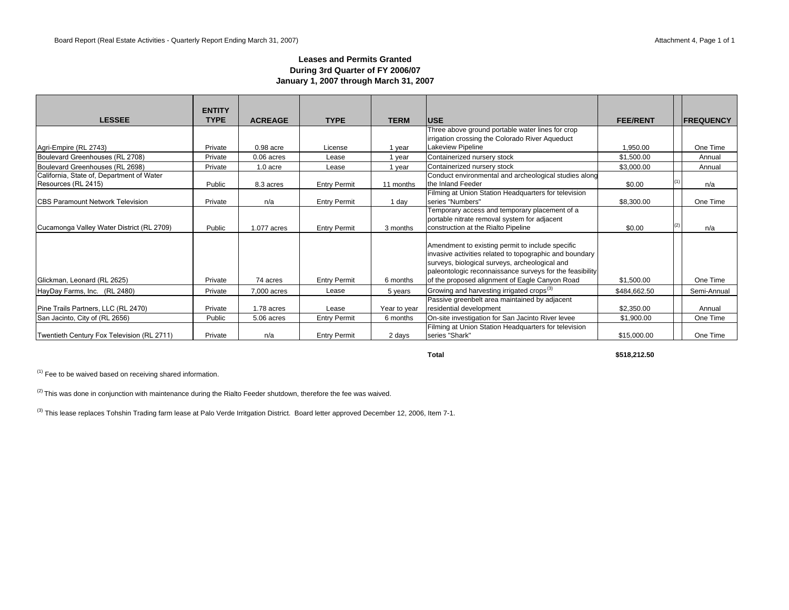### **Leases and Permits Granted During 3rd Quarter of FY 2006/07 January 1, 2007 through March 31, 2007**

|                                            | <b>ENTITY</b> |                |                     |              |                                                                                                                                                                                                                                                                             |                 |                   |
|--------------------------------------------|---------------|----------------|---------------------|--------------|-----------------------------------------------------------------------------------------------------------------------------------------------------------------------------------------------------------------------------------------------------------------------------|-----------------|-------------------|
| <b>LESSEE</b>                              | <b>TYPE</b>   | <b>ACREAGE</b> | <b>TYPE</b>         | <b>TERM</b>  | <b>USE</b>                                                                                                                                                                                                                                                                  | <b>FEE/RENT</b> | <b>IFREQUENCY</b> |
|                                            |               |                |                     |              | Three above ground portable water lines for crop                                                                                                                                                                                                                            |                 |                   |
|                                            |               |                |                     |              | irrigation crossing the Colorado River Aqueduct                                                                                                                                                                                                                             |                 |                   |
| Agri-Empire (RL 2743)                      | Private       | $0.98$ acre    | License             | 1 year       | Lakeview Pipeline                                                                                                                                                                                                                                                           | 1.950.00        | One Time          |
| Boulevard Greenhouses (RL 2708)            | Private       | $0.06$ acres   | Lease               | 1 year       | Containerized nursery stock                                                                                                                                                                                                                                                 | \$1,500.00      | Annual            |
| Boulevard Greenhouses (RL 2698)            | Private       | 1.0 acre       | Lease               | 1 year       | Containerized nursery stock                                                                                                                                                                                                                                                 | \$3,000.00      | Annual            |
| California, State of, Department of Water  |               |                |                     |              | Conduct environmental and archeological studies along                                                                                                                                                                                                                       |                 |                   |
| Resources (RL 2415)                        | Public        | 8.3 acres      | <b>Entry Permit</b> | 11 months    | the Inland Feeder                                                                                                                                                                                                                                                           | \$0.00          | n/a               |
|                                            |               |                |                     |              | Filming at Union Station Headquarters for television                                                                                                                                                                                                                        |                 |                   |
| <b>ICBS Paramount Network Television</b>   | Private       | n/a            | <b>Entry Permit</b> | 1 day        | series "Numbers"                                                                                                                                                                                                                                                            | \$8,300.00      | One Time          |
|                                            |               |                |                     |              | Temporary access and temporary placement of a                                                                                                                                                                                                                               |                 |                   |
|                                            |               |                |                     |              | portable nitrate removal system for adjacent                                                                                                                                                                                                                                |                 |                   |
| Cucamonga Valley Water District (RL 2709)  | Public        | 1.077 acres    | <b>Entry Permit</b> | 3 months     | construction at the Rialto Pipeline                                                                                                                                                                                                                                         | \$0.00          | n/a               |
| Glickman, Leonard (RL 2625)                | Private       | 74 acres       | <b>Entry Permit</b> | 6 months     | Amendment to existing permit to include specific<br>invasive activities related to topographic and boundary<br>surveys, biological surveys, archeological and<br>paleontologic reconnaissance surveys for the feasibility<br>of the proposed alignment of Eagle Canyon Road | \$1,500.00      | One Time          |
|                                            |               |                |                     |              |                                                                                                                                                                                                                                                                             |                 |                   |
| HayDay Farms, Inc. (RL 2480)               | Private       | 7,000 acres    | Lease               | 5 years      | Growing and harvesting irrigated crops <sup>(3)</sup>                                                                                                                                                                                                                       | \$484,662.50    | Semi-Annual       |
| Pine Trails Partners, LLC (RL 2470)        | Private       | 1.78 acres     | Lease               | Year to year | Passive greenbelt area maintained by adjacent<br>residential development                                                                                                                                                                                                    | \$2,350.00      | Annual            |
| San Jacinto, City of (RL 2656)             | Public        | 5.06 acres     | <b>Entry Permit</b> | 6 months     | On-site investigation for San Jacinto River levee                                                                                                                                                                                                                           | \$1,900.00      | One Time          |
| Twentieth Century Fox Television (RL 2711) | Private       | n/a            | <b>Entry Permit</b> | 2 days       | Filming at Union Station Headquarters for television<br>series "Shark"                                                                                                                                                                                                      | \$15,000.00     | One Time          |

**Total \$518,212.50**

 $(1)$  Fee to be waived based on receiving shared information.

<sup>(2)</sup> This was done in conjunction with maintenance during the Rialto Feeder shutdown, therefore the fee was waived.

<sup>(3)</sup> This lease replaces Tohshin Trading farm lease at Palo Verde Irritgation District. Board letter approved December 12, 2006, Item 7-1.